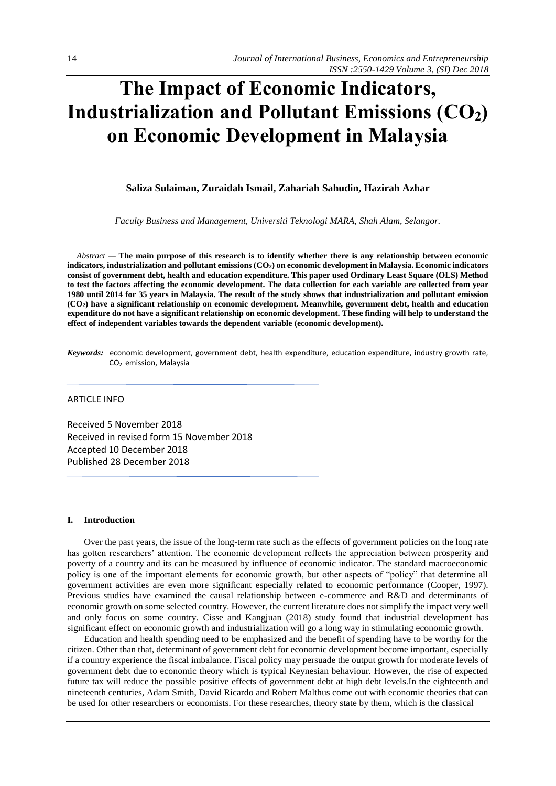# **The Impact of Economic Indicators, Industrialization and Pollutant Emissions (CO2) on Economic Development in Malaysia**

# **Saliza Sulaiman, Zuraidah Ismail, Zahariah Sahudin, Hazirah Azhar**

*Faculty Business and Management, Universiti Teknologi MARA, Shah Alam, Selangor.*

*Abstract —* **The main purpose of this research is to identify whether there is any relationship between economic indicators, industrialization and pollutant emissions (CO2) on economic development in Malaysia. Economic indicators consist of government debt, health and education expenditure. This paper used Ordinary Least Square (OLS) Method to test the factors affecting the economic development. The data collection for each variable are collected from year 1980 until 2014 for 35 years in Malaysia. The result of the study shows that industrialization and pollutant emission (CO2) have a significant relationship on economic development. Meanwhile, government debt, health and education expenditure do not have a significant relationship on economic development. These finding will help to understand the effect of independent variables towards the dependent variable (economic development).**

*Keywords:* economic development, government debt, health expenditure, education expenditure, industry growth rate, CO<sup>2</sup> emission, Malaysia

# ARTICLE INFO

Received 5 November 2018 Received in revised form 15 November 2018 Accepted 10 December 2018 Published 28 December 2018

#### **I. Introduction**

Over the past years, the issue of the long-term rate such as the effects of government policies on the long rate has gotten researchers' attention. The economic development reflects the appreciation between prosperity and poverty of a country and its can be measured by influence of economic indicator. The standard macroeconomic policy is one of the important elements for economic growth, but other aspects of "policy" that determine all government activities are even more significant especially related to economic performance (Cooper, 1997). Previous studies have examined the causal relationship between e-commerce and R&D and determinants of economic growth on some selected country. However, the current literature does not simplify the impact very well and only focus on some country. Cisse and Kangjuan (2018) study found that industrial development has significant effect on economic growth and industrialization will go a long way in stimulating economic growth.

Education and health spending need to be emphasized and the benefit of spending have to be worthy for the citizen. Other than that, determinant of government debt for economic development become important, especially if a country experience the fiscal imbalance. Fiscal policy may persuade the output growth for moderate levels of government debt due to economic theory which is typical Keynesian behaviour. However, the rise of expected future tax will reduce the possible positive effects of government debt at high debt levels.In the eighteenth and nineteenth centuries, Adam Smith, David Ricardo and Robert Malthus come out with economic theories that can be used for other researchers or economists. For these researches, theory state by them, which is the classical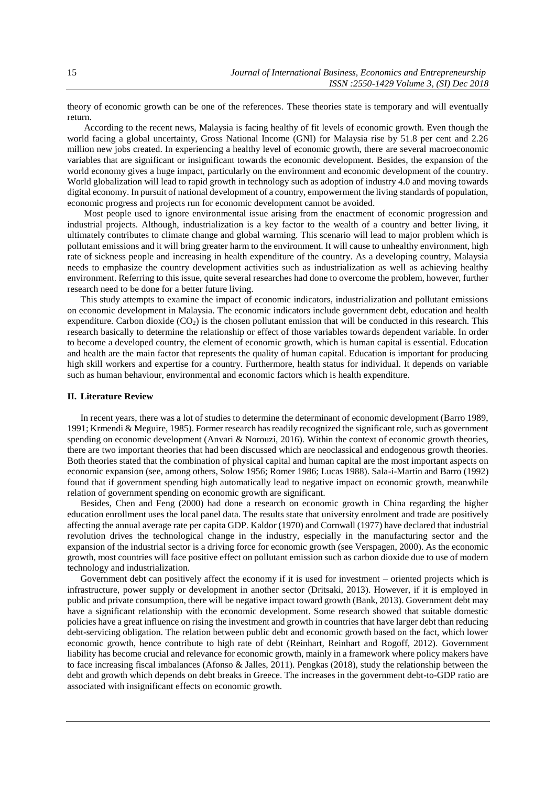theory of economic growth can be one of the references. These theories state is temporary and will eventually return.

According to the recent news, Malaysia is facing healthy of fit levels of economic growth. Even though the world facing a global uncertainty, Gross National Income (GNI) for Malaysia rise by 51.8 per cent and 2.26 million new jobs created. In experiencing a healthy level of economic growth, there are several macroeconomic variables that are significant or insignificant towards the economic development. Besides, the expansion of the world economy gives a huge impact, particularly on the environment and economic development of the country. World globalization will lead to rapid growth in technology such as adoption of industry 4.0 and moving towards digital economy. In pursuit of national development of a country, empowerment the living standards of population, economic progress and projects run for economic development cannot be avoided.

Most people used to ignore environmental issue arising from the enactment of economic progression and industrial projects. Although, industrialization is a key factor to the wealth of a country and better living, it ultimately contributes to climate change and global warming. This scenario will lead to major problem which is pollutant emissions and it will bring greater harm to the environment. It will cause to unhealthy environment, high rate of sickness people and increasing in health expenditure of the country. As a developing country, Malaysia needs to emphasize the country development activities such as industrialization as well as achieving healthy environment. Referring to this issue, quite several researches had done to overcome the problem, however, further research need to be done for a better future living.

This study attempts to examine the impact of economic indicators, industrialization and pollutant emissions on economic development in Malaysia. The economic indicators include government debt, education and health expenditure. Carbon dioxide  $(CO_2)$  is the chosen pollutant emission that will be conducted in this research. This research basically to determine the relationship or effect of those variables towards dependent variable. In order to become a developed country, the element of economic growth, which is human capital is essential. Education and health are the main factor that represents the quality of human capital. Education is important for producing high skill workers and expertise for a country. Furthermore, health status for individual. It depends on variable such as human behaviour, environmental and economic factors which is health expenditure.

# **II. Literature Review**

In recent years, there was a lot of studies to determine the determinant of economic development (Barro 1989, 1991; Krmendi & Meguire, 1985). Former research has readily recognized the significant role, such as government spending on economic development (Anvari & Norouzi, 2016). Within the context of economic growth theories, there are two important theories that had been discussed which are neoclassical and endogenous growth theories. Both theories stated that the combination of physical capital and human capital are the most important aspects on economic expansion (see, among others, Solow 1956; Romer 1986; Lucas 1988). Sala-i-Martin and Barro (1992) found that if government spending high automatically lead to negative impact on economic growth, meanwhile relation of government spending on economic growth are significant.

Besides, Chen and Feng (2000) had done a research on economic growth in China regarding the higher education enrollment uses the local panel data. The results state that university enrolment and trade are positively affecting the annual average rate per capita GDP. Kaldor (1970) and Cornwall (1977) have declared that industrial revolution drives the technological change in the industry, especially in the manufacturing sector and the expansion of the industrial sector is a driving force for economic growth (see Verspagen, 2000). As the economic growth, most countries will face positive effect on pollutant emission such as carbon dioxide due to use of modern technology and industrialization.

Government debt can positively affect the economy if it is used for investment – oriented projects which is infrastructure, power supply or development in another sector (Dritsaki, 2013). However, if it is employed in public and private consumption, there will be negative impact toward growth (Bank, 2013). Government debt may have a significant relationship with the economic development. Some research showed that suitable domestic policies have a great influence on rising the investment and growth in countries that have larger debt than reducing debt-servicing obligation. The relation between public debt and economic growth based on the fact, which lower economic growth, hence contribute to high rate of debt (Reinhart, Reinhart and Rogoff, 2012). Government liability has become crucial and relevance for economic growth, mainly in a framework where policy makers have to face increasing fiscal imbalances (Afonso & Jalles, 2011). Pengkas (2018), study the relationship between the debt and growth which depends on debt breaks in Greece. The increases in the government debt-to-GDP ratio are associated with insignificant effects on economic growth.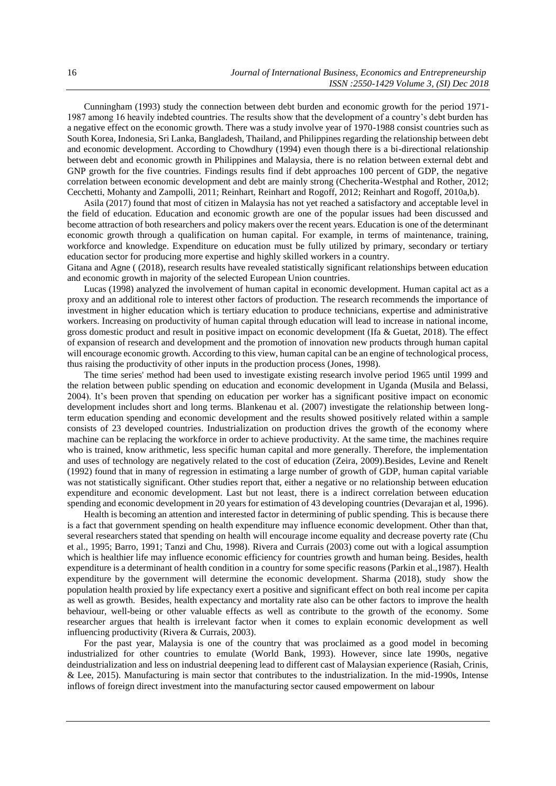Cunningham (1993) study the connection between debt burden and economic growth for the period 1971- 1987 among 16 heavily indebted countries. The results show that the development of a country's debt burden has a negative effect on the economic growth. There was a study involve year of 1970-1988 consist countries such as South Korea, Indonesia, Sri Lanka, Bangladesh, Thailand, and Philippines regarding the relationship between debt and economic development. According to Chowdhury (1994) even though there is a bi-directional relationship between debt and economic growth in Philippines and Malaysia, there is no relation between external debt and GNP growth for the five countries. Findings results find if debt approaches 100 percent of GDP, the negative correlation between economic development and debt are mainly strong (Checherita-Westphal and Rother, 2012; Cecchetti, Mohanty and Zampolli, 2011; Reinhart, Reinhart and Rogoff, 2012; Reinhart and Rogoff, 2010a,b).

Asila (2017) found that most of citizen in Malaysia has not yet reached a satisfactory and acceptable level in the field of education. Education and economic growth are one of the popular issues had been discussed and become attraction of both researchers and policy makers over the recent years. Education is one of the determinant economic growth through a qualification on human capital. For example, in terms of maintenance, training, workforce and knowledge. Expenditure on education must be fully utilized by primary, secondary or tertiary education sector for producing more expertise and highly skilled workers in a country.

Gitana and Agne ( (2018), research results have revealed statistically significant relationships between education and economic growth in majority of the selected European Union countries.

Lucas (1998) analyzed the involvement of human capital in economic development. Human capital act as a proxy and an additional role to interest other factors of production. The research recommends the importance of investment in higher education which is tertiary education to produce technicians, expertise and administrative workers. Increasing on productivity of human capital through education will lead to increase in national income, gross domestic product and result in positive impact on economic development (Ifa & Guetat, 2018). The effect of expansion of research and development and the promotion of innovation new products through human capital will encourage economic growth. According to this view, human capital can be an engine of technological process, thus raising the productivity of other inputs in the production process (Jones, 1998).

The time series' method had been used to investigate existing research involve period 1965 until 1999 and the relation between public spending on education and economic development in Uganda (Musila and Belassi, 2004). It's been proven that spending on education per worker has a significant positive impact on economic development includes short and long terms. Blankenau et al. (2007) investigate the relationship between longterm education spending and economic development and the results showed positively related within a sample consists of 23 developed countries. Industrialization on production drives the growth of the economy where machine can be replacing the workforce in order to achieve productivity. At the same time, the machines require who is trained, know arithmetic, less specific human capital and more generally. Therefore, the implementation and uses of technology are negatively related to the cost of education (Zeira, 2009).Besides, Levine and Renelt (1992) found that in many of regression in estimating a large number of growth of GDP, human capital variable was not statistically significant. Other studies report that, either a negative or no relationship between education expenditure and economic development. Last but not least, there is a indirect correlation between education spending and economic development in 20 years for estimation of 43 developing countries (Devarajan et al, 1996).

Health is becoming an attention and interested factor in determining of public spending. This is because there is a fact that government spending on health expenditure may influence economic development. Other than that, several researchers stated that spending on health will encourage income equality and decrease poverty rate (Chu et al., 1995; Barro, 1991; Tanzi and Chu, 1998). Rivera and Currais (2003) come out with a logical assumption which is healthier life may influence economic efficiency for countries growth and human being. Besides, health expenditure is a determinant of health condition in a country for some specific reasons (Parkin et al.,1987). Health expenditure by the government will determine the economic development. Sharma (2018), study show the population health proxied by life expectancy exert a positive and significant effect on both real income per capita as well as growth. Besides, health expectancy and mortality rate also can be other factors to improve the health behaviour, well-being or other valuable effects as well as contribute to the growth of the economy. Some researcher argues that health is irrelevant factor when it comes to explain economic development as well influencing productivity (Rivera & Currais, 2003).

For the past year, Malaysia is one of the country that was proclaimed as a good model in becoming industrialized for other countries to emulate (World Bank, 1993). However, since late 1990s, negative deindustrialization and less on industrial deepening lead to different cast of Malaysian experience (Rasiah, Crinis, & Lee, 2015). Manufacturing is main sector that contributes to the industrialization. In the mid-1990s, Intense inflows of foreign direct investment into the manufacturing sector caused empowerment on labour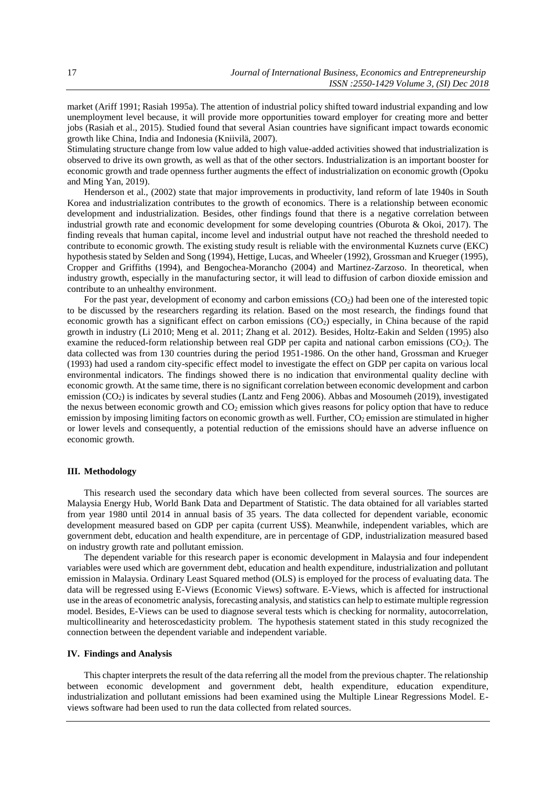market (Ariff 1991; Rasiah 1995a). The attention of industrial policy shifted toward industrial expanding and low unemployment level because, it will provide more opportunities toward employer for creating more and better jobs (Rasiah et al., 2015). Studied found that several Asian countries have significant impact towards economic growth like China, India and Indonesia (Kniivilä, 2007).

Stimulating structure change from low value added to high value-added activities showed that industrialization is observed to drive its own growth, as well as that of the other sectors. Industrialization is an important booster for economic growth and trade openness further augments the effect of industrialization on economic growth (Opoku and Ming Yan, 2019).

Henderson et al., (2002) state that major improvements in productivity, land reform of late 1940s in South Korea and industrialization contributes to the growth of economics. There is a relationship between economic development and industrialization. Besides, other findings found that there is a negative correlation between industrial growth rate and economic development for some developing countries (Oburota & Okoi, 2017). The finding reveals that human capital, income level and industrial output have not reached the threshold needed to contribute to economic growth. The existing study result is reliable with the environmental Kuznets curve (EKC) hypothesis stated by Selden and Song (1994), Hettige, Lucas, and Wheeler (1992), Grossman and Krueger (1995), Cropper and Griffiths (1994), and Bengochea-Morancho (2004) and Martinez-Zarzoso. In theoretical, when industry growth, especially in the manufacturing sector, it will lead to diffusion of carbon dioxide emission and contribute to an unhealthy environment.

For the past year, development of economy and carbon emissions (CO<sub>2</sub>) had been one of the interested topic to be discussed by the researchers regarding its relation. Based on the most research, the findings found that economic growth has a significant effect on carbon emissions (CO2) especially, in China because of the rapid growth in industry (Li 2010; Meng et al. 2011; Zhang et al. 2012). Besides, Holtz-Eakin and Selden (1995) also examine the reduced-form relationship between real GDP per capita and national carbon emissions (CO2). The data collected was from 130 countries during the period 1951-1986. On the other hand, Grossman and Krueger (1993) had used a random city-specific effect model to investigate the effect on GDP per capita on various local environmental indicators. The findings showed there is no indication that environmental quality decline with economic growth. At the same time, there is no significant correlation between economic development and carbon emission (CO2) is indicates by several studies (Lantz and Feng 2006). Abbas and Mosoumeh (2019), investigated the nexus between economic growth and  $CO<sub>2</sub>$  emission which gives reasons for policy option that have to reduce emission by imposing limiting factors on economic growth as well. Further, CO<sub>2</sub> emission are stimulated in higher or lower levels and consequently, a potential reduction of the emissions should have an adverse influence on economic growth.

#### **III. Methodology**

This research used the secondary data which have been collected from several sources. The sources are Malaysia Energy Hub, World Bank Data and Department of Statistic. The data obtained for all variables started from year 1980 until 2014 in annual basis of 35 years. The data collected for dependent variable, economic development measured based on GDP per capita (current US\$). Meanwhile, independent variables, which are government debt, education and health expenditure, are in percentage of GDP, industrialization measured based on industry growth rate and pollutant emission.

The dependent variable for this research paper is economic development in Malaysia and four independent variables were used which are government debt, education and health expenditure, industrialization and pollutant emission in Malaysia. Ordinary Least Squared method (OLS) is employed for the process of evaluating data. The data will be regressed using E-Views (Economic Views) software. E-Views, which is affected for instructional use in the areas of econometric analysis, forecasting analysis, and statistics can help to estimate multiple regression model. Besides, E-Views can be used to diagnose several tests which is checking for normality, autocorrelation, multicollinearity and heteroscedasticity problem. The hypothesis statement stated in this study recognized the connection between the dependent variable and independent variable.

#### **IV. Findings and Analysis**

This chapter interprets the result of the data referring all the model from the previous chapter. The relationship between economic development and government debt, health expenditure, education expenditure, industrialization and pollutant emissions had been examined using the Multiple Linear Regressions Model. Eviews software had been used to run the data collected from related sources.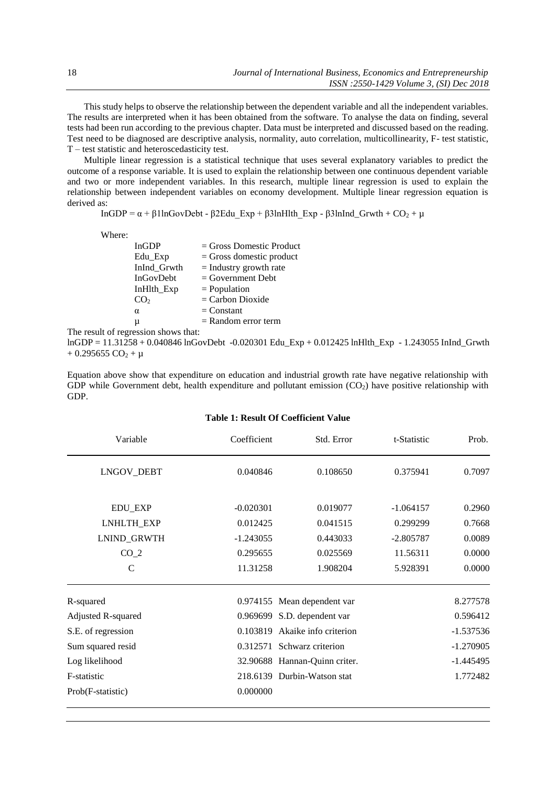This study helps to observe the relationship between the dependent variable and all the independent variables. The results are interpreted when it has been obtained from the software. To analyse the data on finding, several tests had been run according to the previous chapter. Data must be interpreted and discussed based on the reading. Test need to be diagnosed are descriptive analysis, normality, auto correlation, multicollinearity, F- test statistic, T – test statistic and heteroscedasticity test.

Multiple linear regression is a statistical technique that uses several explanatory variables to predict the outcome of a response variable. It is used to explain the relationship between one continuous dependent variable and two or more independent variables. In this research, multiple linear regression is used to explain the relationship between independent variables on economy development. Multiple linear regression equation is derived as:

$$
InGDP = \alpha + \beta 1 ln GovDebt - \beta 2 Edu_Exp + \beta 3 lnHlth_Exp - \beta 3 lnInd_Gr wth + CO_2 + \mu
$$

Where:

| <b>InGDP</b>    | $=$ Gross Domestic Product |
|-----------------|----------------------------|
| Edu_Exp         | $=$ Gross domestic product |
| InInd_Grwth     | $=$ Industry growth rate   |
| InGovDebt       | $=$ Government Debt        |
| InHlth_Exp      | $=$ Population             |
| CO <sub>2</sub> | $=$ Carbon Dioxide         |
| $\alpha$        | $=$ Constant               |
| μ               | $=$ Random error term      |
|                 |                            |

The result of regression shows that:

lnGDP = 11.31258 + 0.040846 lnGovDebt -0.020301 Edu\_Exp + 0.012425 lnHlth\_Exp - 1.243055 InInd\_Grwth  $+ 0.295655 CO<sub>2</sub> + \mu$ 

Equation above show that expenditure on education and industrial growth rate have negative relationship with GDP while Government debt, health expenditure and pollutant emission  $(CO<sub>2</sub>)$  have positive relationship with GDP.

| Variable           | Coefficient | Std. Error                    | t-Statistic | Prob.       |
|--------------------|-------------|-------------------------------|-------------|-------------|
| LNGOV_DEBT         | 0.040846    | 0.108650                      | 0.375941    | 0.7097      |
| <b>EDU_EXP</b>     | $-0.020301$ | 0.019077                      | $-1.064157$ | 0.2960      |
| LNHLTH_EXP         | 0.012425    | 0.041515                      | 0.299299    | 0.7668      |
| LNIND_GRWTH        | $-1.243055$ | 0.443033                      | $-2.805787$ | 0.0089      |
| CO <sub>2</sub>    | 0.295655    | 0.025569                      | 11.56311    | 0.0000      |
| C                  | 11.31258    | 1.908204                      | 5.928391    | 0.0000      |
| R-squared          |             | 0.974155 Mean dependent var   |             | 8.277578    |
| Adjusted R-squared |             | 0.969699 S.D. dependent var   |             | 0.596412    |
| S.E. of regression | 0.103819    | Akaike info criterion         |             | $-1.537536$ |
| Sum squared resid  |             | 0.312571 Schwarz criterion    |             | $-1.270905$ |
| Log likelihood     |             | 32.90688 Hannan-Quinn criter. |             | $-1.445495$ |
| F-statistic        |             | 218.6139 Durbin-Watson stat   |             | 1.772482    |
| Prob(F-statistic)  | 0.000000    |                               |             |             |

# **Table 1: Result Of Coefficient Value**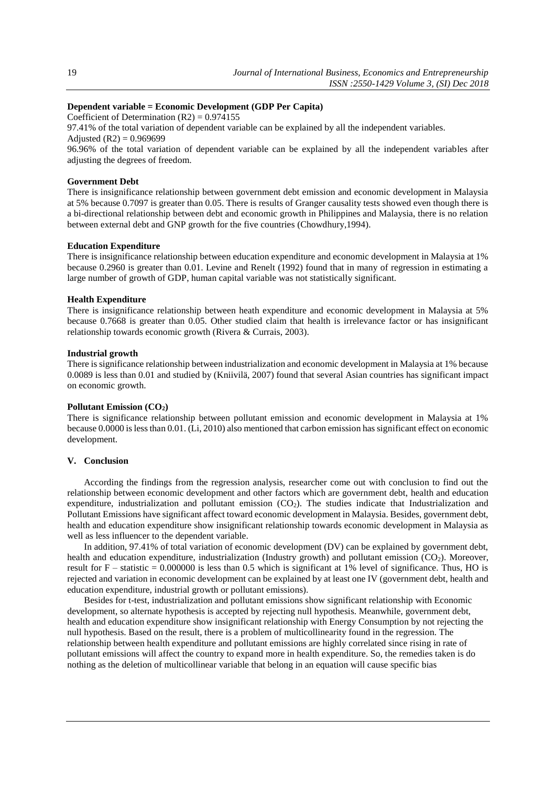# **Dependent variable = Economic Development (GDP Per Capita)**

Coefficient of Determination  $(R2) = 0.974155$ 

97.41% of the total variation of dependent variable can be explained by all the independent variables. Adjusted  $(R2) = 0.969699$ 

96.96% of the total variation of dependent variable can be explained by all the independent variables after adjusting the degrees of freedom.

# **Government Debt**

There is insignificance relationship between government debt emission and economic development in Malaysia at 5% because 0.7097 is greater than 0.05. There is results of Granger causality tests showed even though there is a bi-directional relationship between debt and economic growth in Philippines and Malaysia, there is no relation between external debt and GNP growth for the five countries (Chowdhury,1994).

#### **Education Expenditure**

There is insignificance relationship between education expenditure and economic development in Malaysia at 1% because 0.2960 is greater than 0.01. Levine and Renelt (1992) found that in many of regression in estimating a large number of growth of GDP, human capital variable was not statistically significant.

#### **Health Expenditure**

There is insignificance relationship between heath expenditure and economic development in Malaysia at 5% because 0.7668 is greater than 0.05. Other studied claim that health is irrelevance factor or has insignificant relationship towards economic growth (Rivera & Currais, 2003).

#### **Industrial growth**

There is significance relationship between industrialization and economic development in Malaysia at 1% because 0.0089 is less than 0.01 and studied by (Kniivilä, 2007) found that several Asian countries has significant impact on economic growth.

## **Pollutant Emission (CO2)**

There is significance relationship between pollutant emission and economic development in Malaysia at 1% because 0.0000 is less than 0.01. (Li, 2010) also mentioned that carbon emission has significant effect on economic development.

#### **V. Conclusion**

According the findings from the regression analysis, researcher come out with conclusion to find out the relationship between economic development and other factors which are government debt, health and education expenditure, industrialization and pollutant emission  $(CO<sub>2</sub>)$ . The studies indicate that Industrialization and Pollutant Emissions have significant affect toward economic development in Malaysia. Besides, government debt, health and education expenditure show insignificant relationship towards economic development in Malaysia as well as less influencer to the dependent variable.

In addition, 97.41% of total variation of economic development (DV) can be explained by government debt, health and education expenditure, industrialization (Industry growth) and pollutant emission  $(CO<sub>2</sub>)$ . Moreover, result for  $F$  – statistic = 0.000000 is less than 0.5 which is significant at 1% level of significance. Thus, HO is rejected and variation in economic development can be explained by at least one IV (government debt, health and education expenditure, industrial growth or pollutant emissions).

Besides for t-test, industrialization and pollutant emissions show significant relationship with Economic development, so alternate hypothesis is accepted by rejecting null hypothesis. Meanwhile, government debt, health and education expenditure show insignificant relationship with Energy Consumption by not rejecting the null hypothesis. Based on the result, there is a problem of multicollinearity found in the regression. The relationship between health expenditure and pollutant emissions are highly correlated since rising in rate of pollutant emissions will affect the country to expand more in health expenditure. So, the remedies taken is do nothing as the deletion of multicollinear variable that belong in an equation will cause specific bias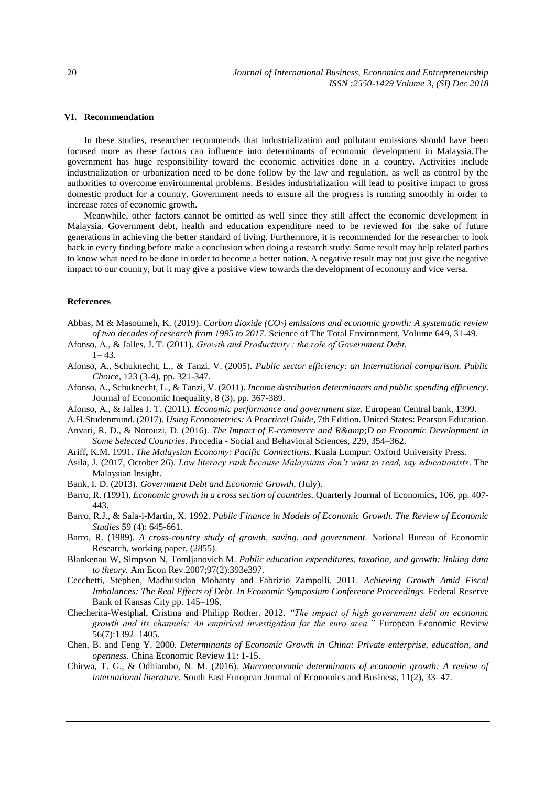#### **VI. Recommendation**

In these studies, researcher recommends that industrialization and pollutant emissions should have been focused more as these factors can influence into determinants of economic development in Malaysia.The government has huge responsibility toward the economic activities done in a country. Activities include industrialization or urbanization need to be done follow by the law and regulation, as well as control by the authorities to overcome environmental problems. Besides industrialization will lead to positive impact to gross domestic product for a country. Government needs to ensure all the progress is running smoothly in order to increase rates of economic growth.

Meanwhile, other factors cannot be omitted as well since they still affect the economic development in Malaysia. Government debt, health and education expenditure need to be reviewed for the sake of future generations in achieving the better standard of living. Furthermore, it is recommended for the researcher to look back in every finding before make a conclusion when doing a research study. Some result may help related parties to know what need to be done in order to become a better nation. A negative result may not just give the negative impact to our country, but it may give a positive view towards the development of economy and vice versa.

## **References**

- Abbas, M & Masoumeh, K. (2019). *Carbon dioxide (CO2) emissions and economic growth: A systematic review of two decades of research from 1995 to 2017.* Science of The Total Environment, Volume 649, 31-49.
- Afonso, A., & Jalles, J. T. (2011). *Growth and Productivity : the role of Government Debt*,
- $1 43$
- Afonso, A., Schuknecht, L., & Tanzi, V. (2005). *Public sector efficiency: an International comparison. Public Choice*, 123 (3-4), pp. 321-347.
- Afonso, A., Schuknecht, L., & Tanzi, V. (2011). *Income distribution determinants and public spending efficiency*. Journal of Economic Inequality, 8 (3), pp. 367-389.
- Afonso, A., & Jalles J. T. (2011). *Economic performance and government size.* European Central bank, 1399.
- A.H.Studenmund. (2017). *Using Econometrics: A Practical Guide*, 7th Edition. United States: Pearson Education.
- Anvari, R. D., & Norouzi, D. (2016). *The Impact of E-commerce and R& D on Economic Development in Some Selected Countries.* Procedia - Social and Behavioral Sciences, 229, 354–362.
- Ariff, K.M. 1991. *The Malaysian Economy: Pacific Connections.* Kuala Lumpur: Oxford University Press.
- Asila, J. (2017, October 26). *Low literacy rank because Malaysians don't want to read, say educationists*. The Malaysian Insight.
- Bank, I. D. (2013). *Government Debt and Economic Growth,* (July).
- Barro, R. (1991). *Economic growth in a cross section of countries.* Quarterly Journal of Economics, 106, pp. 407- 443.
- Barro, R.J., & Sala-i-Martin, X. 1992. *Public Finance in Models of Economic Growth. The Review of Economic Studies* 59 (4): 645-661.
- Barro, R. (1989). *A cross-country study of growth, saving, and government.* National Bureau of Economic Research, working paper, (2855).
- Blankenau W, Simpson N, Tomljanovich M. *Public education expenditures, taxation, and growth: linking data to theory.* Am Econ Rev.2007;97(2):393e397.
- Cecchetti, Stephen, Madhusudan Mohanty and Fabrizio Zampolli. 2011. *Achieving Growth Amid Fiscal Imbalances: The Real Effects of Debt. In Economic Symposium Conference Proceedings. Federal Reserve* Bank of Kansas City pp. 145–196.
- Checherita-Westphal, Cristina and Philipp Rother. 2012. *"The impact of high government debt on economic growth and its channels: An empirical investigation for the euro area."* European Economic Review 56(7):1392–1405.
- Chen, B. and Feng Y. 2000. *Determinants of Economic Growth in China: Private enterprise, education, and openness.* China Economic Review 11: 1-15.
- Chirwa, T. G., & Odhiambo, N. M. (2016). *Macroeconomic determinants of economic growth: A review of international literature.* South East European Journal of Economics and Business, 11(2), 33–47.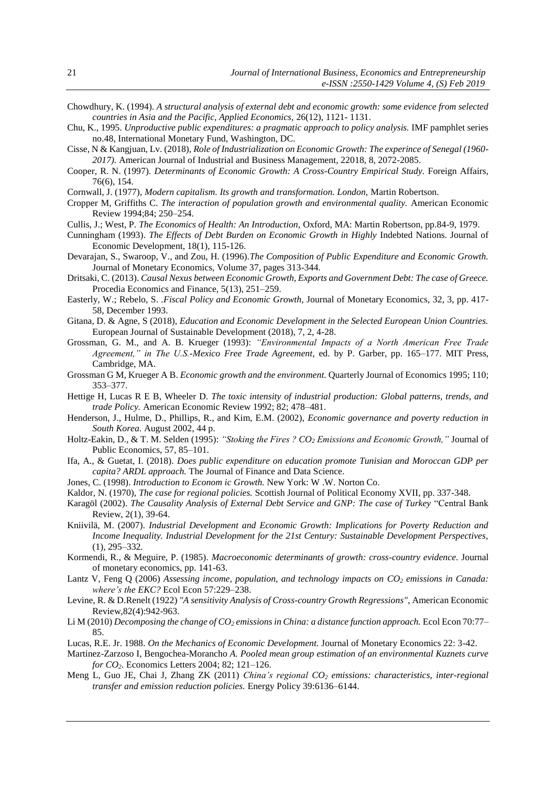- Chowdhury, K. (1994). *A structural analysis of external debt and economic growth: some evidence from selected countries in Asia and the Pacific, Applied Economics,* 26(12), 1121- 1131.
- Chu, K., 1995. *Unproductive public expenditures: a pragmatic approach to policy analysis.* IMF pamphlet series no.48, International Monetary Fund, Washington, DC.
- Cisse, N & Kangjuan, Lv. (2018), *Role of Industrialization on Economic Growth: The experince of Senegal (1960- 2017).* American Journal of Industrial and Business Management, 22018, 8, 2072-2085.
- Cooper, R. N. (1997). *Determinants of Economic Growth: A Cross-Country Empirical Study.* Foreign Affairs, 76(6), 154.
- Cornwall, J. (1977), *Modern capitalism. Its growth and transformation. London,* Martin Robertson.
- Cropper M, Griffiths C. *The interaction of population growth and environmental quality.* American Economic Review 1994;84; 250–254.
- Cullis, J.; West, P. *The Economics of Health: An Introduction,* Oxford, MA: Martin Robertson, pp.84-9, 1979.
- Cunningham (1993). *The Effects of Debt Burden on Economic Growth in Highly* Indebted Nations. Journal of Economic Development, 18(1), 115-126.
- Devarajan, S., Swaroop, V., and Zou, H. (1996).*The Composition of Public Expenditure and Economic Growth.* Journal of Monetary Economics, Volume 37, pages 313-344.
- Dritsaki, C. (2013). *Causal Nexus between Economic Growth, Exports and Government Debt: The case of Greece.* Procedia Economics and Finance, 5(13), 251–259.
- Easterly, W.; Rebelo, S. .*Fiscal Policy and Economic Growth,* Journal of Monetary Economics, 32, 3, pp. 417- 58, December 1993.
- Gitana, D. & Agne, S (2018), *Education and Economic Development in the Selected European Union Countries.* European Journal of Sustainable Development (2018), 7, 2, 4-28.
- Grossman, G. M., and A. B. Krueger (1993): *"Environmental Impacts of a North American Free Trade Agreement," in The U.S.-Mexico Free Trade Agreement,* ed. by P. Garber, pp. 165–177. MIT Press, Cambridge, MA.
- Grossman G M, Krueger A B. *Economic growth and the environment.* Quarterly Journal of Economics 1995; 110; 353–377.
- Hettige H, Lucas R E B, Wheeler D. *The toxic intensity of industrial production: Global patterns, trends, and trade Policy.* American Economic Review 1992; 82; 478–481.
- Henderson, J., Hulme, D., Phillips, R., and Kim, E.M. (2002), *Economic governance and poverty reduction in South Korea.* August 2002, 44 p.
- Holtz-Eakin, D., & T. M. Selden (1995): *"Stoking the Fires ? CO<sup>2</sup> Emissions and Economic Growth,"* Journal of Public Economics, 57, 85–101.
- Ifa, A., & Guetat, I. (2018). *Does public expenditure on education promote Tunisian and Moroccan GDP per capita? ARDL approach.* The Journal of Finance and Data Science.
- Jones, C. (1998). *Introduction to Econom ic Growth.* New York: W .W. Norton Co.
- Kaldor, N. (1970), *The case for regional policies.* Scottish Journal of Political Economy XVII, pp. 337-348.
- Karagöl (2002). *The Causality Analysis of External Debt Service and GNP: The case of Turkey* "Central Bank Review, 2(1), 39-64.
- Kniivilä, M. (2007). *Industrial Development and Economic Growth: Implications for Poverty Reduction and Income Inequality. Industrial Development for the 21st Century: Sustainable Development Perspectives,* (1), 295–332.
- Kormendi, R., & Meguire, P. (1985). *Macroeconomic determinants of growth: cross-country evidence.* Journal of monetary economics, pp. 141-63.
- Lantz V, Feng Q (2006) *Assessing income, population, and technology impacts on CO<sup>2</sup> emissions in Canada: where's the EKC?* Ecol Econ 57:229–238.
- Levine, R. & D.Renelt (1922) *"A sensitivity Analysis of Cross-country Growth Regressions"*, American Economic Review,82(4):942-963.
- Li M (2010) *Decomposing the change of CO<sup>2</sup> emissions in China: a distance function approach.* Ecol Econ 70:77– 85.
- Lucas, R.E. Jr. 1988. *On the Mechanics of Economic Development.* Journal of Monetary Economics 22: 3-42.
- Martinez-Zarzoso I, Bengochea-Morancho *A. Pooled mean group estimation of an environmental Kuznets curve for CO2*. Economics Letters 2004; 82; 121–126.
- Meng L, Guo JE, Chai J, Zhang ZK (2011) *China's regional CO<sup>2</sup> emissions: characteristics, inter-regional transfer and emission reduction policies.* Energy Policy 39:6136–6144.